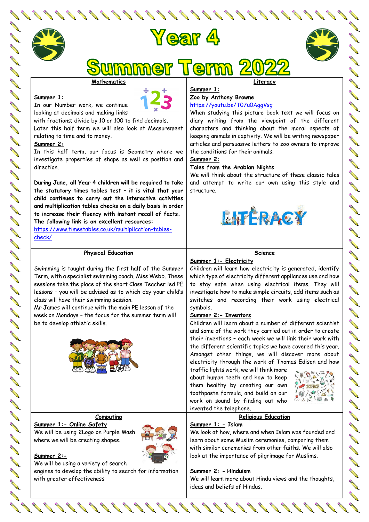



mmer Term

#### **Mathematics**

#### **Summer 1:**

**ANTI** 

**Contract Contract Contract Contract Contract Contract Contract Contract Contract Contract Contract Contract C** 



In our Number work, we continue looking at decimals and making links

with fractions; divide by 10 or 100 to find decimals. Later this half term we will also look at Measurement relating to time and to money.

#### **Summer 2:**

In this half term, our focus is Geometry where we investigate properties of shape as well as position and direction.

**During June, all Year 4 children will be required to take the statutory times tables test – it is vital that your child continues to carry out the interactive activities and multiplication tables checks on a daily basis in order to increase their fluency with instant recall of facts.**

**The following link is an excellent resources:** [https://www.timestables.co.uk/multiplication-tables](https://www.timestables.co.uk/multiplication-tables-check/)[check/](https://www.timestables.co.uk/multiplication-tables-check/)

### **Physical Education**

Swimming is taught during the first half of the Summer Term, with a specialist swimming coach, Miss Webb. These sessions take the place of the short Class Teacher led PE lessons – you will be advised as to which day your child's class will have their swimming session.

Mr James will continue with the main PE lesson of the week on Mondays – the focus for the summer term will be to develop athletic skills.



**Computing**

**Summer 1:- Online Safety**  We will be using 2Logo on Purple Mash where we will be creating shapes.



# **Summer 2:-**

A A

No. of Card

**Contraction Contraction** 

**OBB** 

We will be using a variety of search engines to develop the ability to search for information with greater effectiveness

**Literacy**

# **Summer 1: Zoo by Anthony Browne**

### <https://youtu.be/T07u0AggVsg>

When studying this picture book text we will focus on diary writing from the viewpoint of the different characters and thinking about the moral aspects of keeping animals in captivity. We will be writing newspaper articles and persuasive letters to zoo owners to improve the conditions for their animals.

**Summer 2:**

#### **Tales from the Arabian Nights**

We will think about the structure of these classic tales and attempt to write our own using this style and structure.



# **Science**

# **Summer 1:- Electricity**

Children will learn how electricity is generated, identify which type of electricity different appliances use and how to stay safe when using electrical items. They will investigate how to make simple circuits, add items such as switches and recording their work using electrical symbols.

# **Summer 2:- Inventors**

Children will learn about a number of different scientist and some of the work they carried out in order to create their inventions – each week we will link their work with the different scientific topics we have covered this year. Amongst other things, we will discover more about electricity through the work of Thomas Edison and how

traffic lights work, we will think more about human teeth and how to keep them healthy by creating our own toothpaste formula, and build on our work on sound by finding out who invented the telephone.



### **Religious Education**

#### **Summer 1: - Islam**

We look at how, where and when Islam was founded and learn about some Muslim ceremonies, comparing them with similar ceremonies from other faiths. We will also look at the importance of pilgrimage for Muslims.

### **Summer 2: - Hinduism**

We will learn more about Hindu views and the thoughts, ideas and beliefs of Hindus.